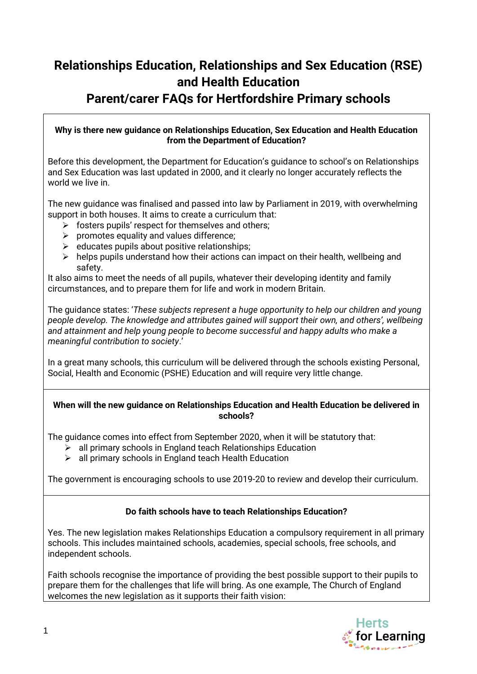# **Relationships Education, Relationships and Sex Education (RSE) and Health Education Parent/carer FAQs for Hertfordshire Primary schools**

#### **Why is there new guidance on Relationships Education, Sex Education and Health Education from the Department of Education?**

Before this development, the Department for Education's guidance to school's on Relationships and Sex Education was last updated in 2000, and it clearly no longer accurately reflects the world we live in.

The new guidance was finalised and passed into law by Parliament in 2019, with overwhelming support in both houses. It aims to create a curriculum that:

- $\triangleright$  fosters pupils' respect for themselves and others;
- $\triangleright$  promotes equality and values difference;
- $\triangleright$  educates pupils about positive relationships;
- $\triangleright$  helps pupils understand how their actions can impact on their health, wellbeing and safety.

It also aims to meet the needs of all pupils, whatever their developing identity and family circumstances, and to prepare them for life and work in modern Britain.

The guidance states: '*These subjects represent a huge opportunity to help our children and young people develop. The knowledge and attributes gained will support their own, and others', wellbeing and attainment and help young people to become successful and happy adults who make a meaningful contribution to society*.'

In a great many schools, this curriculum will be delivered through the schools existing Personal, Social, Health and Economic (PSHE) Education and will require very little change.

#### **When will the new guidance on Relationships Education and Health Education be delivered in schools?**

The guidance comes into effect from September 2020, when it will be statutory that:

- $\triangleright$  all primary schools in England teach Relationships Education
- $\triangleright$  all primary schools in England teach Health Education

The government is encouraging schools to use 2019-20 to review and develop their curriculum.

#### **Do faith schools have to teach Relationships Education?**

Yes. The new legislation makes Relationships Education a compulsory requirement in all primary schools. This includes maintained schools, academies, special schools, free schools, and independent schools.

Faith schools recognise the importance of providing the best possible support to their pupils to prepare them for the challenges that life will bring. As one example, The Church of England welcomes the new legislation as it supports their faith vision:

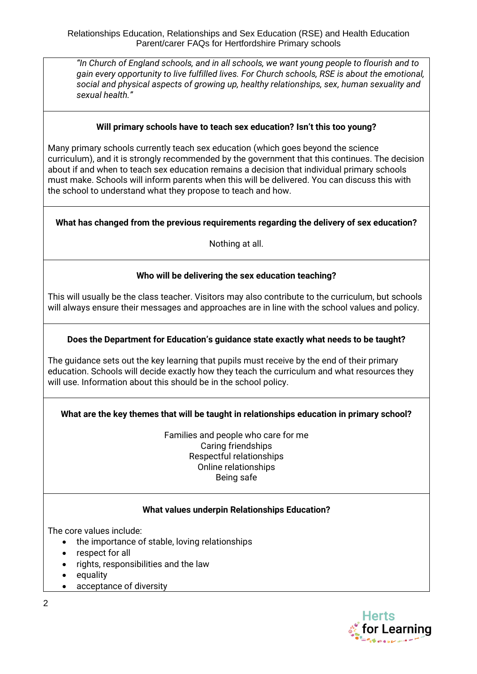Relationships Education, Relationships and Sex Education (RSE) and Health Education Parent/carer FAQs for Hertfordshire Primary schools

*"In Church of England schools, and in all schools, we want young people to flourish and to gain every opportunity to live fulfilled lives. For Church schools, RSE is about the emotional, social and physical aspects of growing up, healthy relationships, sex, human sexuality and sexual health."* 

#### **Will primary schools have to teach sex education? Isn't this too young?**

Many primary schools currently teach sex education (which goes beyond the science curriculum), and it is strongly recommended by the government that this continues. The decision about if and when to teach sex education remains a decision that individual primary schools must make. Schools will inform parents when this will be delivered. You can discuss this with the school to understand what they propose to teach and how.

#### **What has changed from the previous requirements regarding the delivery of sex education?**

Nothing at all.

#### **Who will be delivering the sex education teaching?**

This will usually be the class teacher. Visitors may also contribute to the curriculum, but schools will always ensure their messages and approaches are in line with the school values and policy.

#### **Does the Department for Education's guidance state exactly what needs to be taught?**

The guidance sets out the key learning that pupils must receive by the end of their primary education. Schools will decide exactly how they teach the curriculum and what resources they will use. Information about this should be in the school policy.

#### **What are the key themes that will be taught in relationships education in primary school?**

Families and people who care for me Caring friendships Respectful relationships Online relationships Being safe

#### **What values underpin Relationships Education?**

The core values include:

- the importance of stable, loving relationships
- respect for all
- rights, responsibilities and the law
- equality
- acceptance of diversity

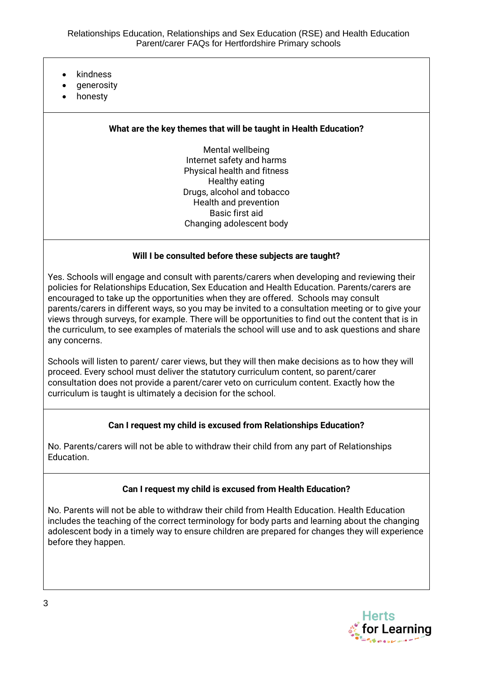- kindness
- generosity
- honesty

### **What are the key themes that will be taught in Health Education?**

Mental wellbeing Internet safety and harms Physical health and fitness Healthy eating Drugs, alcohol and tobacco Health and prevention Basic first aid Changing adolescent body

#### **Will I be consulted before these subjects are taught?**

Yes. Schools will engage and consult with parents/carers when developing and reviewing their policies for Relationships Education, Sex Education and Health Education. Parents/carers are encouraged to take up the opportunities when they are offered. Schools may consult parents/carers in different ways, so you may be invited to a consultation meeting or to give your views through surveys, for example. There will be opportunities to find out the content that is in the curriculum, to see examples of materials the school will use and to ask questions and share any concerns.

Schools will listen to parent/ carer views, but they will then make decisions as to how they will proceed. Every school must deliver the statutory curriculum content, so parent/carer consultation does not provide a parent/carer veto on curriculum content. Exactly how the curriculum is taught is ultimately a decision for the school.

#### **Can I request my child is excused from Relationships Education?**

No. Parents/carers will not be able to withdraw their child from any part of Relationships Education.

#### **Can I request my child is excused from Health Education?**

No. Parents will not be able to withdraw their child from Health Education. Health Education includes the teaching of the correct terminology for body parts and learning about the changing adolescent body in a timely way to ensure children are prepared for changes they will experience before they happen.

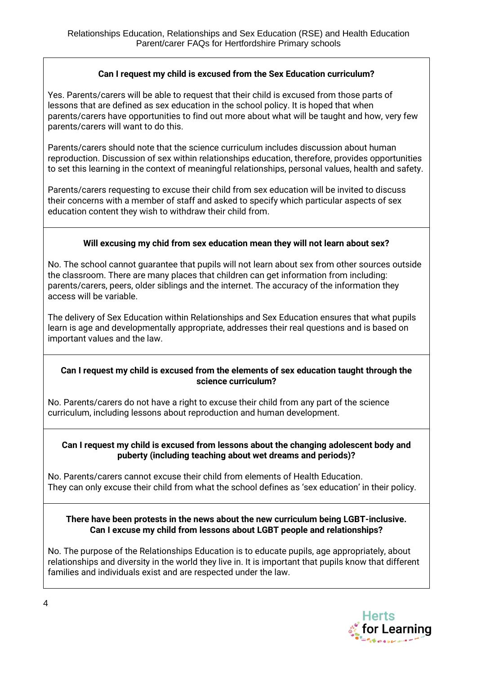# **Can I request my child is excused from the Sex Education curriculum?**

Yes. Parents/carers will be able to request that their child is excused from those parts of lessons that are defined as sex education in the school policy. It is hoped that when parents/carers have opportunities to find out more about what will be taught and how, very few parents/carers will want to do this.

Parents/carers should note that the science curriculum includes discussion about human reproduction. Discussion of sex within relationships education, therefore, provides opportunities to set this learning in the context of meaningful relationships, personal values, health and safety.

Parents/carers requesting to excuse their child from sex education will be invited to discuss their concerns with a member of staff and asked to specify which particular aspects of sex education content they wish to withdraw their child from.

# **Will excusing my chid from sex education mean they will not learn about sex?**

No. The school cannot guarantee that pupils will not learn about sex from other sources outside the classroom. There are many places that children can get information from including: parents/carers, peers, older siblings and the internet. The accuracy of the information they access will be variable.

The delivery of Sex Education within Relationships and Sex Education ensures that what pupils learn is age and developmentally appropriate, addresses their real questions and is based on important values and the law.

#### **Can I request my child is excused from the elements of sex education taught through the science curriculum?**

No. Parents/carers do not have a right to excuse their child from any part of the science curriculum, including lessons about reproduction and human development.

#### **Can I request my child is excused from lessons about the changing adolescent body and puberty (including teaching about wet dreams and periods)?**

No. Parents/carers cannot excuse their child from elements of Health Education. They can only excuse their child from what the school defines as 'sex education' in their policy.

#### **There have been protests in the news about the new curriculum being LGBT-inclusive. Can I excuse my child from lessons about LGBT people and relationships?**

No. The purpose of the Relationships Education is to educate pupils, age appropriately, about relationships and diversity in the world they live in. It is important that pupils know that different families and individuals exist and are respected under the law.

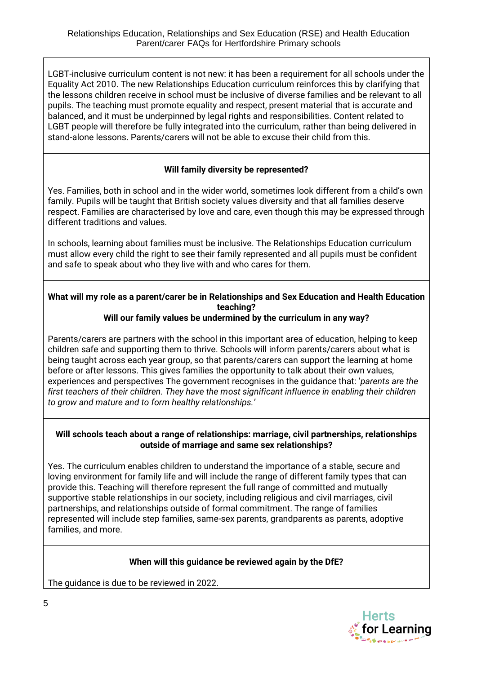LGBT-inclusive curriculum content is not new: it has been a requirement for all schools under the Equality Act 2010. The new Relationships Education curriculum reinforces this by clarifying that the lessons children receive in school must be inclusive of diverse families and be relevant to all pupils. The teaching must promote equality and respect, present material that is accurate and balanced, and it must be underpinned by legal rights and responsibilities. Content related to LGBT people will therefore be fully integrated into the curriculum, rather than being delivered in stand-alone lessons. Parents/carers will not be able to excuse their child from this.

# **Will family diversity be represented?**

Yes. Families, both in school and in the wider world, sometimes look different from a child's own family. Pupils will be taught that British society values diversity and that all families deserve respect. Families are characterised by love and care, even though this may be expressed through different traditions and values.

In schools, learning about families must be inclusive. The Relationships Education curriculum must allow every child the right to see their family represented and all pupils must be confident and safe to speak about who they live with and who cares for them.

# **What will my role as a parent/carer be in Relationships and Sex Education and Health Education teaching?**

# **Will our family values be undermined by the curriculum in any way?**

Parents/carers are partners with the school in this important area of education, helping to keep children safe and supporting them to thrive. Schools will inform parents/carers about what is being taught across each year group, so that parents/carers can support the learning at home before or after lessons. This gives families the opportunity to talk about their own values, experiences and perspectives The government recognises in the guidance that: '*parents are the first teachers of their children. They have the most significant influence in enabling their children to grow and mature and to form healthy relationships.'*

#### **Will schools teach about a range of relationships: marriage, civil partnerships, relationships outside of marriage and same sex relationships?**

Yes. The curriculum enables children to understand the importance of a stable, secure and loving environment for family life and will include the range of different family types that can provide this. Teaching will therefore represent the full range of committed and mutually supportive stable relationships in our society, including religious and civil marriages, civil partnerships, and relationships outside of formal commitment. The range of families represented will include step families, same-sex parents, grandparents as parents, adoptive families, and more.

# **When will this guidance be reviewed again by the DfE?**

The guidance is due to be reviewed in 2022.